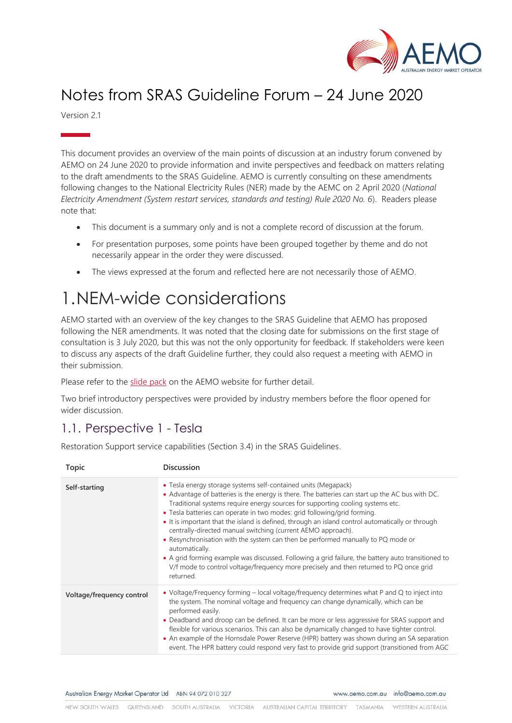

## Notes from SRAS Guideline Forum – 24 June 2020

Version 2.1

This document provides an overview of the main points of discussion at an industry forum convened by AEMO on 24 June 2020 to provide information and invite perspectives and feedback on matters relating to the draft amendments to the SRAS Guideline. AEMO is currently consulting on these amendments following changes to the National Electricity Rules (NER) made by the AEMC on 2 April 2020 (*National Electricity Amendment (System restart services, standards and testing) Rule 2020 No. 6*). Readers please note that:

- This document is a summary only and is not a complete record of discussion at the forum.
- For presentation purposes, some points have been grouped together by theme and do not necessarily appear in the order they were discussed.
- The views expressed at the forum and reflected here are not necessarily those of AEMO.

## 1.NEM-wide considerations

AEMO started with an overview of the key changes to the SRAS Guideline that AEMO has proposed following the NER amendments. It was noted that the closing date for submissions on the first stage of consultation is 3 July 2020, but this was not the only opportunity for feedback. If stakeholders were keen to discuss any aspects of the draft Guideline further, they could also request a meeting with AEMO in their submission.

Please refer to the [slide pack](https://aemo.com.au/-/media/files/stakeholder_consultation/consultations/nem-consultations/2020/sras-guideline/sras-guideline-forum-24062020.pdf) on the AEMO website for further detail.

Two brief introductory perspectives were provided by industry members before the floor opened for wider discussion.

### 1.1. Perspective 1 - Tesla

Restoration Support service capabilities (Section 3.4) in the SRAS Guidelines.

| Topic                     | <b>Discussion</b>                                                                                                                                                                                                                                                                                                                                                                                                                                                                                                                                                                                                                                                                                                                                                                                                      |
|---------------------------|------------------------------------------------------------------------------------------------------------------------------------------------------------------------------------------------------------------------------------------------------------------------------------------------------------------------------------------------------------------------------------------------------------------------------------------------------------------------------------------------------------------------------------------------------------------------------------------------------------------------------------------------------------------------------------------------------------------------------------------------------------------------------------------------------------------------|
| Self-starting             | • Tesla energy storage systems self-contained units (Megapack)<br>• Advantage of batteries is the energy is there. The batteries can start up the AC bus with DC.<br>Traditional systems require energy sources for supporting cooling systems etc.<br>• Tesla batteries can operate in two modes: grid following/grid forming.<br>• It is important that the island is defined, through an island control automatically or through<br>centrally-directed manual switching (current AEMO approach).<br>• Resynchronisation with the system can then be performed manually to PQ mode or<br>automatically.<br>• A grid forming example was discussed. Following a grid failure, the battery auto transitioned to<br>V/f mode to control voltage/frequency more precisely and then returned to PQ once grid<br>returned. |
| Voltage/frequency control | • Voltage/Frequency forming – local voltage/frequency determines what P and Q to inject into<br>the system. The nominal voltage and frequency can change dynamically, which can be<br>performed easily.<br>• Deadband and droop can be defined. It can be more or less aggressive for SRAS support and<br>flexible for various scenarios. This can also be dynamically changed to have tighter control.<br>• An example of the Hornsdale Power Reserve (HPR) battery was shown during an SA separation<br>event. The HPR battery could respond very fast to provide grid support (transitioned from AGC                                                                                                                                                                                                                |

Australian Energy Market Operator Ltd ABN 94 072 010 327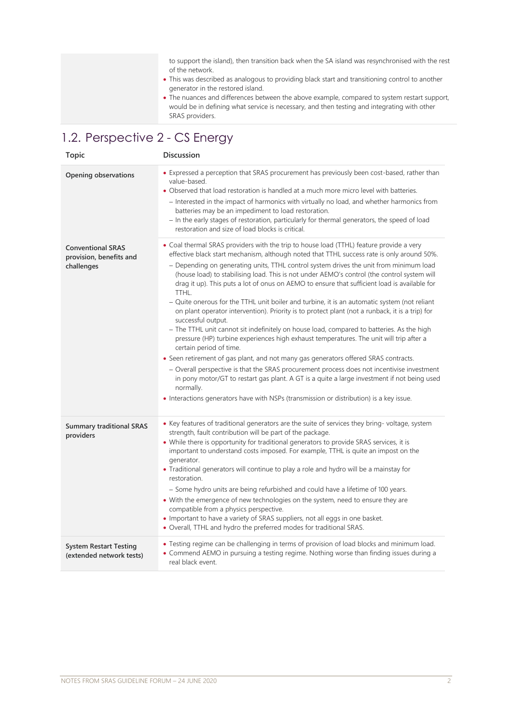to support the island), then transition back when the SA island was resynchronised with the rest of the network.

- This was described as analogous to providing black start and transitioning control to another generator in the restored island.
- The nuances and differences between the above example, compared to system restart support, would be in defining what service is necessary, and then testing and integrating with other SRAS providers.

## 1.2. Perspective 2 - CS Energy

| <b>Topic</b>                                                      | <b>Discussion</b>                                                                                                                                                                                                                                                                                                                                                                                                                                                                                                                                                                                                                                                                                                                                                                                                                                                                                                                                                                                                                                                                                                                                                                                                                                                                                                               |
|-------------------------------------------------------------------|---------------------------------------------------------------------------------------------------------------------------------------------------------------------------------------------------------------------------------------------------------------------------------------------------------------------------------------------------------------------------------------------------------------------------------------------------------------------------------------------------------------------------------------------------------------------------------------------------------------------------------------------------------------------------------------------------------------------------------------------------------------------------------------------------------------------------------------------------------------------------------------------------------------------------------------------------------------------------------------------------------------------------------------------------------------------------------------------------------------------------------------------------------------------------------------------------------------------------------------------------------------------------------------------------------------------------------|
| Opening observations                                              | • Expressed a perception that SRAS procurement has previously been cost-based, rather than<br>value-based.<br>• Observed that load restoration is handled at a much more micro level with batteries.<br>- Interested in the impact of harmonics with virtually no load, and whether harmonics from<br>batteries may be an impediment to load restoration.<br>- In the early stages of restoration, particularly for thermal generators, the speed of load<br>restoration and size of load blocks is critical.                                                                                                                                                                                                                                                                                                                                                                                                                                                                                                                                                                                                                                                                                                                                                                                                                   |
| <b>Conventional SRAS</b><br>provision, benefits and<br>challenges | • Coal thermal SRAS providers with the trip to house load (TTHL) feature provide a very<br>effective black start mechanism, although noted that TTHL success rate is only around 50%.<br>- Depending on generating units, TTHL control system drives the unit from minimum load<br>(house load) to stabilising load. This is not under AEMO's control (the control system will<br>drag it up). This puts a lot of onus on AEMO to ensure that sufficient load is available for<br>TTHL.<br>- Quite onerous for the TTHL unit boiler and turbine, it is an automatic system (not reliant<br>on plant operator intervention). Priority is to protect plant (not a runback, it is a trip) for<br>successful output.<br>- The TTHL unit cannot sit indefinitely on house load, compared to batteries. As the high<br>pressure (HP) turbine experiences high exhaust temperatures. The unit will trip after a<br>certain period of time.<br>• Seen retirement of gas plant, and not many gas generators offered SRAS contracts.<br>- Overall perspective is that the SRAS procurement process does not incentivise investment<br>in pony motor/GT to restart gas plant. A GT is a quite a large investment if not being used<br>normally.<br>• Interactions generators have with NSPs (transmission or distribution) is a key issue. |
| <b>Summary traditional SRAS</b><br>providers                      | • Key features of traditional generators are the suite of services they bring-voltage, system<br>strength, fault contribution will be part of the package.<br>• While there is opportunity for traditional generators to provide SRAS services, it is<br>important to understand costs imposed. For example, TTHL is quite an impost on the<br>generator.<br>• Traditional generators will continue to play a role and hydro will be a mainstay for<br>restoration.<br>- Some hydro units are being refurbished and could have a lifetime of 100 years.<br>• With the emergence of new technologies on the system, need to ensure they are<br>compatible from a physics perspective.<br>• Important to have a variety of SRAS suppliers, not all eggs in one basket.<br>• Overall, TTHL and hydro the preferred modes for traditional SRAS.                                                                                                                                                                                                                                                                                                                                                                                                                                                                                     |
| <b>System Restart Testing</b><br>(extended network tests)         | • Testing regime can be challenging in terms of provision of load blocks and minimum load.<br>• Commend AEMO in pursuing a testing regime. Nothing worse than finding issues during a<br>real black event.                                                                                                                                                                                                                                                                                                                                                                                                                                                                                                                                                                                                                                                                                                                                                                                                                                                                                                                                                                                                                                                                                                                      |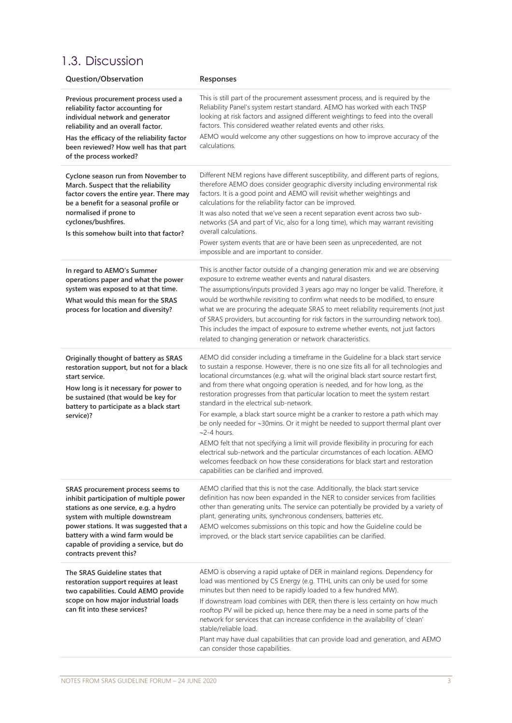### 1.3. Discussion

| Question/Observation                                                                                                                                                                                                                                                                                          | Responses                                                                                                                                                                                                                                                                                                                                                                                                                                                                                                                                                                                                                                                                                                                                                                                                                                                                                                                                                                                |
|---------------------------------------------------------------------------------------------------------------------------------------------------------------------------------------------------------------------------------------------------------------------------------------------------------------|------------------------------------------------------------------------------------------------------------------------------------------------------------------------------------------------------------------------------------------------------------------------------------------------------------------------------------------------------------------------------------------------------------------------------------------------------------------------------------------------------------------------------------------------------------------------------------------------------------------------------------------------------------------------------------------------------------------------------------------------------------------------------------------------------------------------------------------------------------------------------------------------------------------------------------------------------------------------------------------|
| Previous procurement process used a<br>reliability factor accounting for<br>individual network and generator<br>reliability and an overall factor.<br>Has the efficacy of the reliability factor<br>been reviewed? How well has that part<br>of the process worked?                                           | This is still part of the procurement assessment process, and is required by the<br>Reliability Panel's system restart standard. AEMO has worked with each TNSP<br>looking at risk factors and assigned different weightings to feed into the overall<br>factors. This considered weather related events and other risks.<br>AEMO would welcome any other suggestions on how to improve accuracy of the<br>calculations.                                                                                                                                                                                                                                                                                                                                                                                                                                                                                                                                                                 |
| Cyclone season run from November to<br>March. Suspect that the reliability<br>factor covers the entire year. There may<br>be a benefit for a seasonal profile or<br>normalised if prone to<br>cyclones/bushfires.<br>Is this somehow built into that factor?                                                  | Different NEM regions have different susceptibility, and different parts of regions,<br>therefore AEMO does consider geographic diversity including environmental risk<br>factors. It is a good point and AEMO will revisit whether weightings and<br>calculations for the reliability factor can be improved.<br>It was also noted that we've seen a recent separation event across two sub-<br>networks (SA and part of Vic, also for a long time), which may warrant revisiting<br>overall calculations.<br>Power system events that are or have been seen as unprecedented, are not<br>impossible and are important to consider.                                                                                                                                                                                                                                                                                                                                                     |
| In regard to AEMO's Summer<br>operations paper and what the power<br>system was exposed to at that time.<br>What would this mean for the SRAS<br>process for location and diversity?                                                                                                                          | This is another factor outside of a changing generation mix and we are observing<br>exposure to extreme weather events and natural disasters.<br>The assumptions/inputs provided 3 years ago may no longer be valid. Therefore, it<br>would be worthwhile revisiting to confirm what needs to be modified, to ensure<br>what we are procuring the adequate SRAS to meet reliability requirements (not just<br>of SRAS providers, but accounting for risk factors in the surrounding network too).<br>This includes the impact of exposure to extreme whether events, not just factors<br>related to changing generation or network characteristics.                                                                                                                                                                                                                                                                                                                                      |
| Originally thought of battery as SRAS<br>restoration support, but not for a black<br>start service.<br>How long is it necessary for power to<br>be sustained (that would be key for<br>battery to participate as a black start<br>service)?                                                                   | AEMO did consider including a timeframe in the Guideline for a black start service<br>to sustain a response. However, there is no one size fits all for all technologies and<br>locational circumstances (e.g. what will the original black start source restart first,<br>and from there what ongoing operation is needed, and for how long, as the<br>restoration progresses from that particular location to meet the system restart<br>standard in the electrical sub-network.<br>For example, a black start source might be a cranker to restore a path which may<br>be only needed for ~30mins. Or it might be needed to support thermal plant over<br>$\sim$ 2-4 hours.<br>AEMO felt that not specifying a limit will provide flexibility in procuring for each<br>electrical sub-network and the particular circumstances of each location. AEMO<br>welcomes feedback on how these considerations for black start and restoration<br>capabilities can be clarified and improved. |
| SRAS procurement process seems to<br>inhibit participation of multiple power<br>stations as one service, e.g. a hydro<br>system with multiple downstream<br>power stations. It was suggested that a<br>battery with a wind farm would be<br>capable of providing a service, but do<br>contracts prevent this? | AEMO clarified that this is not the case. Additionally, the black start service<br>definition has now been expanded in the NER to consider services from facilities<br>other than generating units. The service can potentially be provided by a variety of<br>plant, generating units, synchronous condensers, batteries etc.<br>AEMO welcomes submissions on this topic and how the Guideline could be<br>improved, or the black start service capabilities can be clarified.                                                                                                                                                                                                                                                                                                                                                                                                                                                                                                          |
| The SRAS Guideline states that<br>restoration support requires at least<br>two capabilities. Could AEMO provide<br>scope on how major industrial loads<br>can fit into these services?                                                                                                                        | AEMO is observing a rapid uptake of DER in mainland regions. Dependency for<br>load was mentioned by CS Energy (e.g. TTHL units can only be used for some<br>minutes but then need to be rapidly loaded to a few hundred MW).<br>If downstream load combines with DER, then there is less certainty on how much<br>rooftop PV will be picked up, hence there may be a need in some parts of the<br>network for services that can increase confidence in the availability of 'clean'<br>stable/reliable load.<br>Plant may have dual capabilities that can provide load and generation, and AEMO<br>can consider those capabilities.                                                                                                                                                                                                                                                                                                                                                      |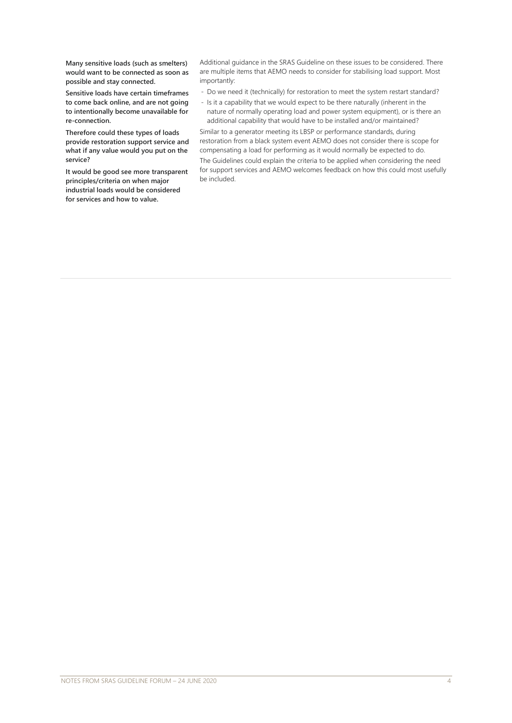**Many sensitive loads (such as smelters) would want to be connected as soon as possible and stay connected.** 

**Sensitive loads have certain timeframes to come back online, and are not going to intentionally become unavailable for re-connection.** 

**Therefore could these types of loads provide restoration support service and what if any value would you put on the service?**

**It would be good see more transparent principles/criteria on when major industrial loads would be considered for services and how to value.** 

be included.

Additional guidance in the SRAS Guideline on these issues to be considered. There are multiple items that AEMO needs to consider for stabilising load support. Most importantly:

- Do we need it (technically) for restoration to meet the system restart standard?
- Is it a capability that we would expect to be there naturally (inherent in the nature of normally operating load and power system equipment), or is there an additional capability that would have to be installed and/or maintained?

Similar to a generator meeting its LBSP or performance standards, during restoration from a black system event AEMO does not consider there is scope for compensating a load for performing as it would normally be expected to do. The Guidelines could explain the criteria to be applied when considering the need for support services and AEMO welcomes feedback on how this could most usefully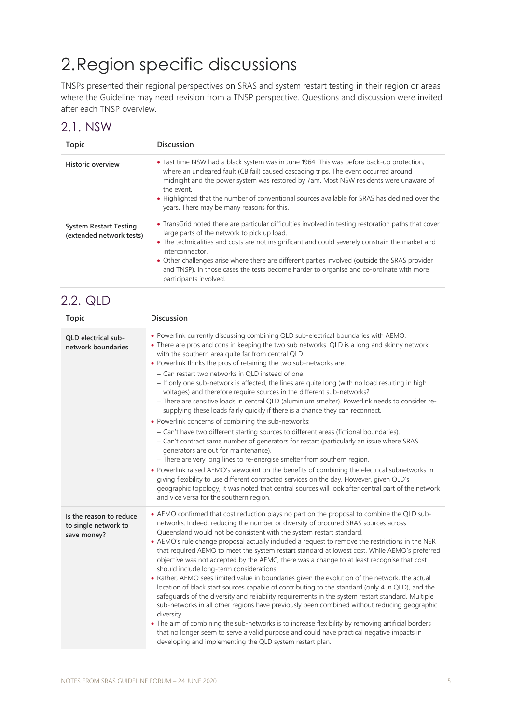# 2.Region specific discussions

TNSPs presented their regional perspectives on SRAS and system restart testing in their region or areas where the Guideline may need revision from a TNSP perspective. Questions and discussion were invited after each TNSP overview.

#### 2.1. NSW

| <b>Topic</b>                                              | <b>Discussion</b>                                                                                                                                                                                                                                                                                                                                                                                                                                                                                 |
|-----------------------------------------------------------|---------------------------------------------------------------------------------------------------------------------------------------------------------------------------------------------------------------------------------------------------------------------------------------------------------------------------------------------------------------------------------------------------------------------------------------------------------------------------------------------------|
| <b>Historic overview</b>                                  | • Last time NSW had a black system was in June 1964. This was before back-up protection,<br>where an uncleared fault (CB fail) caused cascading trips. The event occurred around<br>midnight and the power system was restored by 7am. Most NSW residents were unaware of<br>the event.<br>• Highlighted that the number of conventional sources available for SRAS has declined over the<br>years. There may be many reasons for this.                                                           |
| <b>System Restart Testing</b><br>(extended network tests) | • TransGrid noted there are particular difficulties involved in testing restoration paths that cover<br>large parts of the network to pick up load.<br>• The technicalities and costs are not insignificant and could severely constrain the market and<br>interconnector.<br>• Other challenges arise where there are different parties involved (outside the SRAS provider<br>and TNSP). In those cases the tests become harder to organise and co-ordinate with more<br>participants involved. |

#### 2.2. QLD

| <b>Topic</b>                                                   | <b>Discussion</b>                                                                                                                                                                                                                                                                                                                                                                                                                                                                                                                                                                                                                                                                                                                                                                                                                                                                                                                                                                                                                                                                                                                                                                                                                                                                                                                                                                                                                                    |
|----------------------------------------------------------------|------------------------------------------------------------------------------------------------------------------------------------------------------------------------------------------------------------------------------------------------------------------------------------------------------------------------------------------------------------------------------------------------------------------------------------------------------------------------------------------------------------------------------------------------------------------------------------------------------------------------------------------------------------------------------------------------------------------------------------------------------------------------------------------------------------------------------------------------------------------------------------------------------------------------------------------------------------------------------------------------------------------------------------------------------------------------------------------------------------------------------------------------------------------------------------------------------------------------------------------------------------------------------------------------------------------------------------------------------------------------------------------------------------------------------------------------------|
| OLD electrical sub-<br>network boundaries                      | . Powerlink currently discussing combining QLD sub-electrical boundaries with AEMO.<br>• There are pros and cons in keeping the two sub networks. QLD is a long and skinny network<br>with the southern area quite far from central QLD.<br>• Powerlink thinks the pros of retaining the two sub-networks are:<br>- Can restart two networks in QLD instead of one.<br>- If only one sub-network is affected, the lines are quite long (with no load resulting in high<br>voltages) and therefore require sources in the different sub-networks?<br>- There are sensitive loads in central QLD (aluminium smelter). Powerlink needs to consider re-<br>supplying these loads fairly quickly if there is a chance they can reconnect.<br>• Powerlink concerns of combining the sub-networks:<br>- Can't have two different starting sources to different areas (fictional boundaries).<br>- Can't contract same number of generators for restart (particularly an issue where SRAS<br>generators are out for maintenance).<br>- There are very long lines to re-energise smelter from southern region.<br>• Powerlink raised AEMO's viewpoint on the benefits of combining the electrical subnetworks in<br>giving flexibility to use different contracted services on the day. However, given QLD's<br>geographic topology, it was noted that central sources will look after central part of the network<br>and vice versa for the southern region. |
| Is the reason to reduce<br>to single network to<br>save money? | • AEMO confirmed that cost reduction plays no part on the proposal to combine the QLD sub-<br>networks. Indeed, reducing the number or diversity of procured SRAS sources across<br>Queensland would not be consistent with the system restart standard.<br>• AEMO's rule change proposal actually included a request to remove the restrictions in the NER<br>that required AEMO to meet the system restart standard at lowest cost. While AEMO's preferred<br>objective was not accepted by the AEMC, there was a change to at least recognise that cost<br>should include long-term considerations.<br>• Rather, AEMO sees limited value in boundaries given the evolution of the network, the actual<br>location of black start sources capable of contributing to the standard (only 4 in QLD), and the<br>safeguards of the diversity and reliability requirements in the system restart standard. Multiple<br>sub-networks in all other regions have previously been combined without reducing geographic<br>diversity.<br>• The aim of combining the sub-networks is to increase flexibility by removing artificial borders<br>that no longer seem to serve a valid purpose and could have practical negative impacts in<br>developing and implementing the QLD system restart plan.                                                                                                                                                         |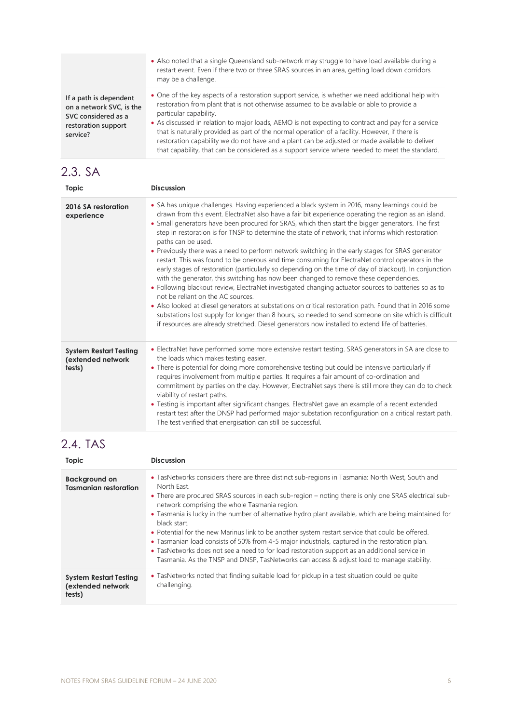|                                                                                                              | • Also noted that a single Queensland sub-network may struggle to have load available during a<br>restart event. Even if there two or three SRAS sources in an area, getting load down corridors<br>may be a challenge.                                                                                                                                                                                                                                                                                                                                                                                                                |
|--------------------------------------------------------------------------------------------------------------|----------------------------------------------------------------------------------------------------------------------------------------------------------------------------------------------------------------------------------------------------------------------------------------------------------------------------------------------------------------------------------------------------------------------------------------------------------------------------------------------------------------------------------------------------------------------------------------------------------------------------------------|
| If a path is dependent<br>on a network SVC, is the<br>SVC considered as a<br>restoration support<br>service? | • One of the key aspects of a restoration support service, is whether we need additional help with<br>restoration from plant that is not otherwise assumed to be available or able to provide a<br>particular capability.<br>• As discussed in relation to major loads, AEMO is not expecting to contract and pay for a service<br>that is naturally provided as part of the normal operation of a facility. However, if there is<br>restoration capability we do not have and a plant can be adjusted or made available to deliver<br>that capability, that can be considered as a support service where needed to meet the standard. |

## 2.3. SA

| Topic                                                        | <b>Discussion</b>                                                                                                                                                                                                                                                                                                                                                                                                                                                                                                                                                                                                                                                                                                                                                                                                                                                                                                                                                                                                                                                                                                                                                                                                                                                                                                       |
|--------------------------------------------------------------|-------------------------------------------------------------------------------------------------------------------------------------------------------------------------------------------------------------------------------------------------------------------------------------------------------------------------------------------------------------------------------------------------------------------------------------------------------------------------------------------------------------------------------------------------------------------------------------------------------------------------------------------------------------------------------------------------------------------------------------------------------------------------------------------------------------------------------------------------------------------------------------------------------------------------------------------------------------------------------------------------------------------------------------------------------------------------------------------------------------------------------------------------------------------------------------------------------------------------------------------------------------------------------------------------------------------------|
| 2016 SA restoration<br>experience                            | • SA has unique challenges. Having experienced a black system in 2016, many learnings could be<br>drawn from this event. ElectraNet also have a fair bit experience operating the region as an island.<br>• Small generators have been procured for SRAS, which then start the bigger generators. The first<br>step in restoration is for TNSP to determine the state of network, that informs which restoration<br>paths can be used.<br>• Previously there was a need to perform network switching in the early stages for SRAS generator<br>restart. This was found to be onerous and time consuming for ElectraNet control operators in the<br>early stages of restoration (particularly so depending on the time of day of blackout). In conjunction<br>with the generator, this switching has now been changed to remove these dependencies.<br>• Following blackout review, ElectraNet investigated changing actuator sources to batteries so as to<br>not be reliant on the AC sources.<br>• Also looked at diesel generators at substations on critical restoration path. Found that in 2016 some<br>substations lost supply for longer than 8 hours, so needed to send someone on site which is difficult<br>if resources are already stretched. Diesel generators now installed to extend life of batteries. |
| <b>System Restart Testing</b><br>(extended network<br>tests) | • ElectraNet have performed some more extensive restart testing. SRAS generators in SA are close to<br>the loads which makes testing easier.<br>• There is potential for doing more comprehensive testing but could be intensive particularly if<br>requires involvement from multiple parties. It requires a fair amount of co-ordination and<br>commitment by parties on the day. However, ElectraNet says there is still more they can do to check<br>viability of restart paths.<br>• Testing is important after significant changes. ElectraNet gave an example of a recent extended<br>restart test after the DNSP had performed major substation reconfiguration on a critical restart path.<br>The test verified that energisation can still be successful.                                                                                                                                                                                                                                                                                                                                                                                                                                                                                                                                                     |

## 2.4. TAS

| Topic                                                        | <b>Discussion</b>                                                                                                                                                                                                                                                                                                                                                                                                                                                                                                                                                                                                                                                                                                                                                                                     |
|--------------------------------------------------------------|-------------------------------------------------------------------------------------------------------------------------------------------------------------------------------------------------------------------------------------------------------------------------------------------------------------------------------------------------------------------------------------------------------------------------------------------------------------------------------------------------------------------------------------------------------------------------------------------------------------------------------------------------------------------------------------------------------------------------------------------------------------------------------------------------------|
| <b>Background on</b><br><b>Tasmanian restoration</b>         | • TasNetworks considers there are three distinct sub-regions in Tasmania: North West, South and<br>North East.<br>• There are procured SRAS sources in each sub-region – noting there is only one SRAS electrical sub-<br>network comprising the whole Tasmania region.<br>• Tasmania is lucky in the number of alternative hydro plant available, which are being maintained for<br>black start.<br>• Potential for the new Marinus link to be another system restart service that could be offered.<br>• Tasmanian load consists of 50% from 4-5 major industrials, captured in the restoration plan.<br>• TasNetworks does not see a need to for load restoration support as an additional service in<br>Tasmania. As the TNSP and DNSP, TasNetworks can access & adjust load to manage stability. |
| <b>System Restart Testing</b><br>(extended network<br>tests) | • TasNetworks noted that finding suitable load for pickup in a test situation could be quite<br>challenging.                                                                                                                                                                                                                                                                                                                                                                                                                                                                                                                                                                                                                                                                                          |